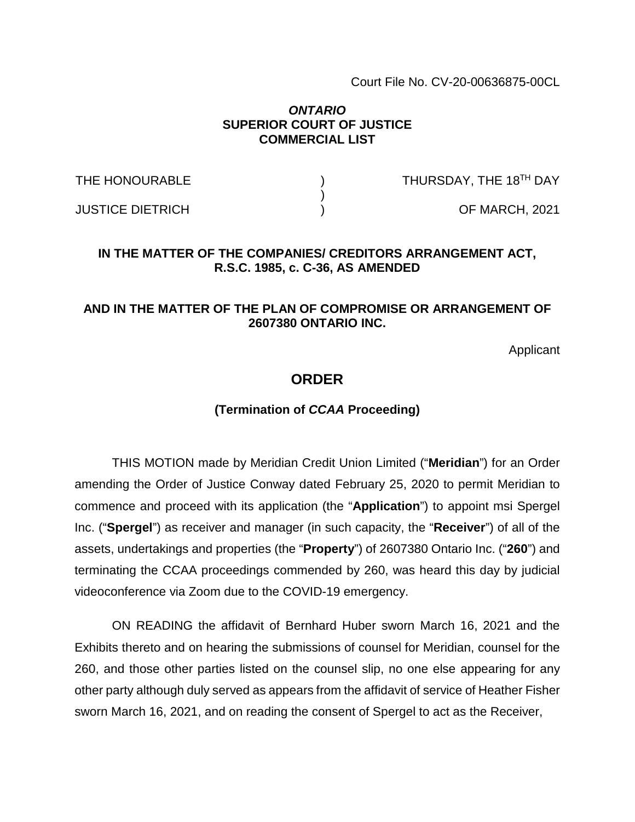Court File No. CV-20-00636875-00CL

#### *ONTARIO*  **SUPERIOR COURT OF JUSTICE COMMERCIAL LIST**

THE HONOURABLE  $\overline{ }$  ) THURSDAY, THE 18<sup>TH</sup> DAY

JUSTICE DIETRICH ) OF MARCH, 2021

### **IN THE MATTER OF THE COMPANIES/ CREDITORS ARRANGEMENT ACT, R.S.C. 1985, c. C-36, AS AMENDED**

)

### **AND IN THE MATTER OF THE PLAN OF COMPROMISE OR ARRANGEMENT OF 2607380 ONTARIO INC.**

Applicant

## **ORDER**

#### **(Termination of** *CCAA* **Proceeding)**

THIS MOTION made by Meridian Credit Union Limited ("**Meridian**") for an Order amending the Order of Justice Conway dated February 25, 2020 to permit Meridian to commence and proceed with its application (the "**Application**") to appoint msi Spergel Inc. ("**Spergel**") as receiver and manager (in such capacity, the "**Receiver**") of all of the assets, undertakings and properties (the "**Property**") of 2607380 Ontario Inc. ("**260**") and terminating the CCAA proceedings commended by 260, was heard this day by judicial videoconference via Zoom due to the COVID-19 emergency.

ON READING the affidavit of Bernhard Huber sworn March 16, 2021 and the Exhibits thereto and on hearing the submissions of counsel for Meridian, counsel for the 260, and those other parties listed on the counsel slip, no one else appearing for any other party although duly served as appears from the affidavit of service of Heather Fisher sworn March 16, 2021, and on reading the consent of Spergel to act as the Receiver,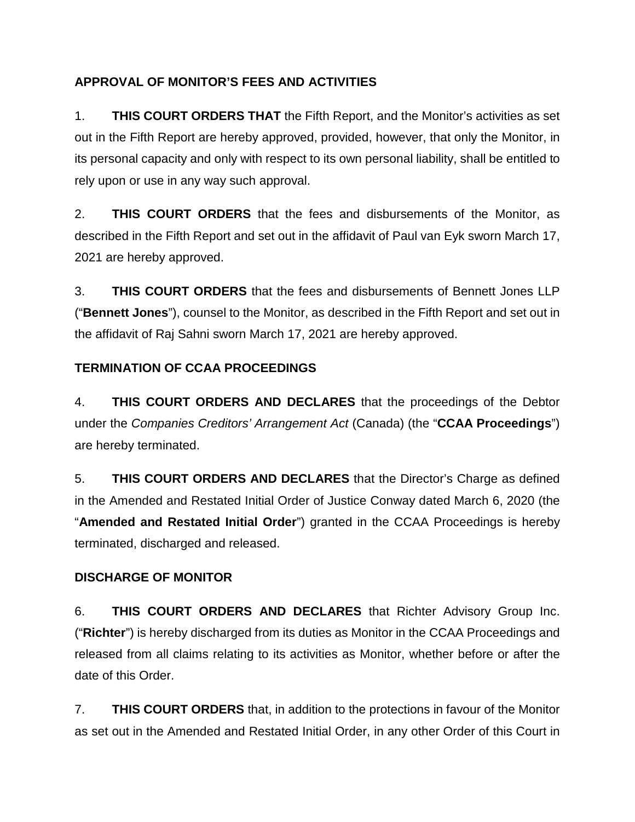# **APPROVAL OF MONITOR'S FEES AND ACTIVITIES**

1. **THIS COURT ORDERS THAT** the Fifth Report, and the Monitor's activities as set out in the Fifth Report are hereby approved, provided, however, that only the Monitor, in its personal capacity and only with respect to its own personal liability, shall be entitled to rely upon or use in any way such approval.

2. **THIS COURT ORDERS** that the fees and disbursements of the Monitor, as described in the Fifth Report and set out in the affidavit of Paul van Eyk sworn March 17, 2021 are hereby approved.

3. **THIS COURT ORDERS** that the fees and disbursements of Bennett Jones LLP ("**Bennett Jones**"), counsel to the Monitor, as described in the Fifth Report and set out in the affidavit of Raj Sahni sworn March 17, 2021 are hereby approved.

# **TERMINATION OF CCAA PROCEEDINGS**

4. **THIS COURT ORDERS AND DECLARES** that the proceedings of the Debtor under the *Companies Creditors' Arrangement Act* (Canada) (the "**CCAA Proceedings**") are hereby terminated.

5. **THIS COURT ORDERS AND DECLARES** that the Director's Charge as defined in the Amended and Restated Initial Order of Justice Conway dated March 6, 2020 (the "**Amended and Restated Initial Order**") granted in the CCAA Proceedings is hereby terminated, discharged and released.

## **DISCHARGE OF MONITOR**

6. **THIS COURT ORDERS AND DECLARES** that Richter Advisory Group Inc. ("**Richter**") is hereby discharged from its duties as Monitor in the CCAA Proceedings and released from all claims relating to its activities as Monitor, whether before or after the date of this Order.

7. **THIS COURT ORDERS** that, in addition to the protections in favour of the Monitor as set out in the Amended and Restated Initial Order, in any other Order of this Court in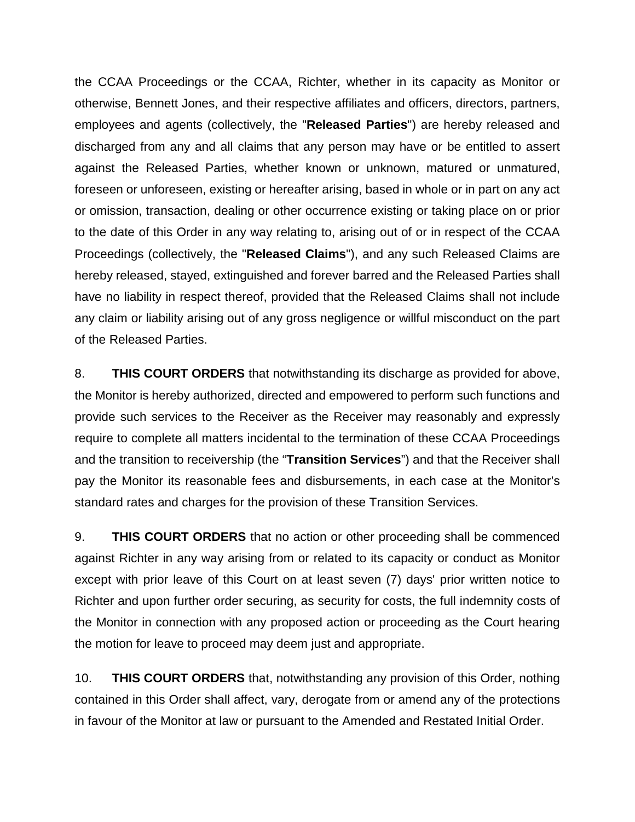the CCAA Proceedings or the CCAA, Richter, whether in its capacity as Monitor or otherwise, Bennett Jones, and their respective affiliates and officers, directors, partners, employees and agents (collectively, the "**Released Parties**") are hereby released and discharged from any and all claims that any person may have or be entitled to assert against the Released Parties, whether known or unknown, matured or unmatured, foreseen or unforeseen, existing or hereafter arising, based in whole or in part on any act or omission, transaction, dealing or other occurrence existing or taking place on or prior to the date of this Order in any way relating to, arising out of or in respect of the CCAA Proceedings (collectively, the "**Released Claims**"), and any such Released Claims are hereby released, stayed, extinguished and forever barred and the Released Parties shall have no liability in respect thereof, provided that the Released Claims shall not include any claim or liability arising out of any gross negligence or willful misconduct on the part of the Released Parties.

8. **THIS COURT ORDERS** that notwithstanding its discharge as provided for above, the Monitor is hereby authorized, directed and empowered to perform such functions and provide such services to the Receiver as the Receiver may reasonably and expressly require to complete all matters incidental to the termination of these CCAA Proceedings and the transition to receivership (the "**Transition Services**") and that the Receiver shall pay the Monitor its reasonable fees and disbursements, in each case at the Monitor's standard rates and charges for the provision of these Transition Services.

9. **THIS COURT ORDERS** that no action or other proceeding shall be commenced against Richter in any way arising from or related to its capacity or conduct as Monitor except with prior leave of this Court on at least seven (7) days' prior written notice to Richter and upon further order securing, as security for costs, the full indemnity costs of the Monitor in connection with any proposed action or proceeding as the Court hearing the motion for leave to proceed may deem just and appropriate.

10. **THIS COURT ORDERS** that, notwithstanding any provision of this Order, nothing contained in this Order shall affect, vary, derogate from or amend any of the protections in favour of the Monitor at law or pursuant to the Amended and Restated Initial Order.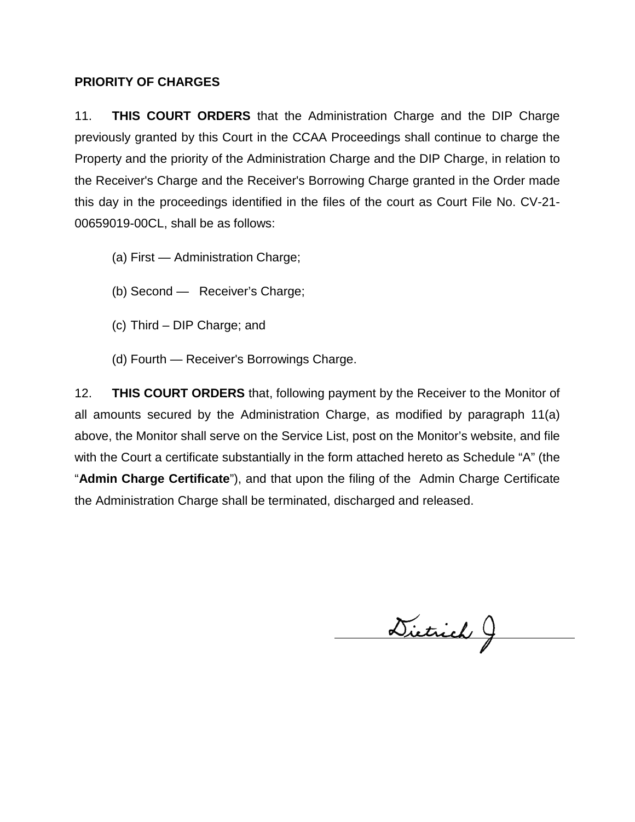### **PRIORITY OF CHARGES**

11. **THIS COURT ORDERS** that the Administration Charge and the DIP Charge previously granted by this Court in the CCAA Proceedings shall continue to charge the Property and the priority of the Administration Charge and the DIP Charge, in relation to the Receiver's Charge and the Receiver's Borrowing Charge granted in the Order made this day in the proceedings identified in the files of the court as Court File No. CV-21- 00659019-00CL, shall be as follows:

- (a) First Administration Charge;
- (b) Second Receiver's Charge;
- (c) Third DIP Charge; and
- (d) Fourth Receiver's Borrowings Charge.

12. **THIS COURT ORDERS** that, following payment by the Receiver to the Monitor of all amounts secured by the Administration Charge, as modified by paragraph 11(a) above, the Monitor shall serve on the Service List, post on the Monitor's website, and file with the Court a certificate substantially in the form attached hereto as Schedule "A" (the "**Admin Charge Certificate**"), and that upon the filing of the Admin Charge Certificate the Administration Charge shall be terminated, discharged and released.

Dietrich J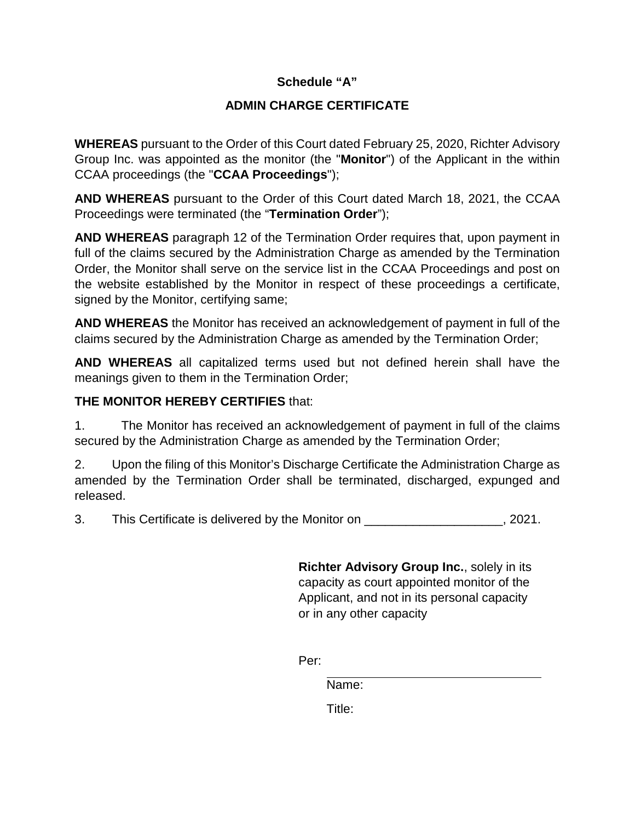## **Schedule "A"**

## **ADMIN CHARGE CERTIFICATE**

**WHEREAS** pursuant to the Order of this Court dated February 25, 2020, Richter Advisory Group Inc. was appointed as the monitor (the "**Monitor**") of the Applicant in the within CCAA proceedings (the "**CCAA Proceedings**");

**AND WHEREAS** pursuant to the Order of this Court dated March 18, 2021, the CCAA Proceedings were terminated (the "**Termination Order**");

**AND WHEREAS** paragraph 12 of the Termination Order requires that, upon payment in full of the claims secured by the Administration Charge as amended by the Termination Order, the Monitor shall serve on the service list in the CCAA Proceedings and post on the website established by the Monitor in respect of these proceedings a certificate, signed by the Monitor, certifying same;

**AND WHEREAS** the Monitor has received an acknowledgement of payment in full of the claims secured by the Administration Charge as amended by the Termination Order;

**AND WHEREAS** all capitalized terms used but not defined herein shall have the meanings given to them in the Termination Order;

## **THE MONITOR HEREBY CERTIFIES** that:

1. The Monitor has received an acknowledgement of payment in full of the claims secured by the Administration Charge as amended by the Termination Order;

2. Upon the filing of this Monitor's Discharge Certificate the Administration Charge as amended by the Termination Order shall be terminated, discharged, expunged and released.

3. This Certificate is delivered by the Monitor on  $\sim$  2021.

**Richter Advisory Group Inc.**, solely in its capacity as court appointed monitor of the Applicant, and not in its personal capacity or in any other capacity

Per:

Name:

Title: